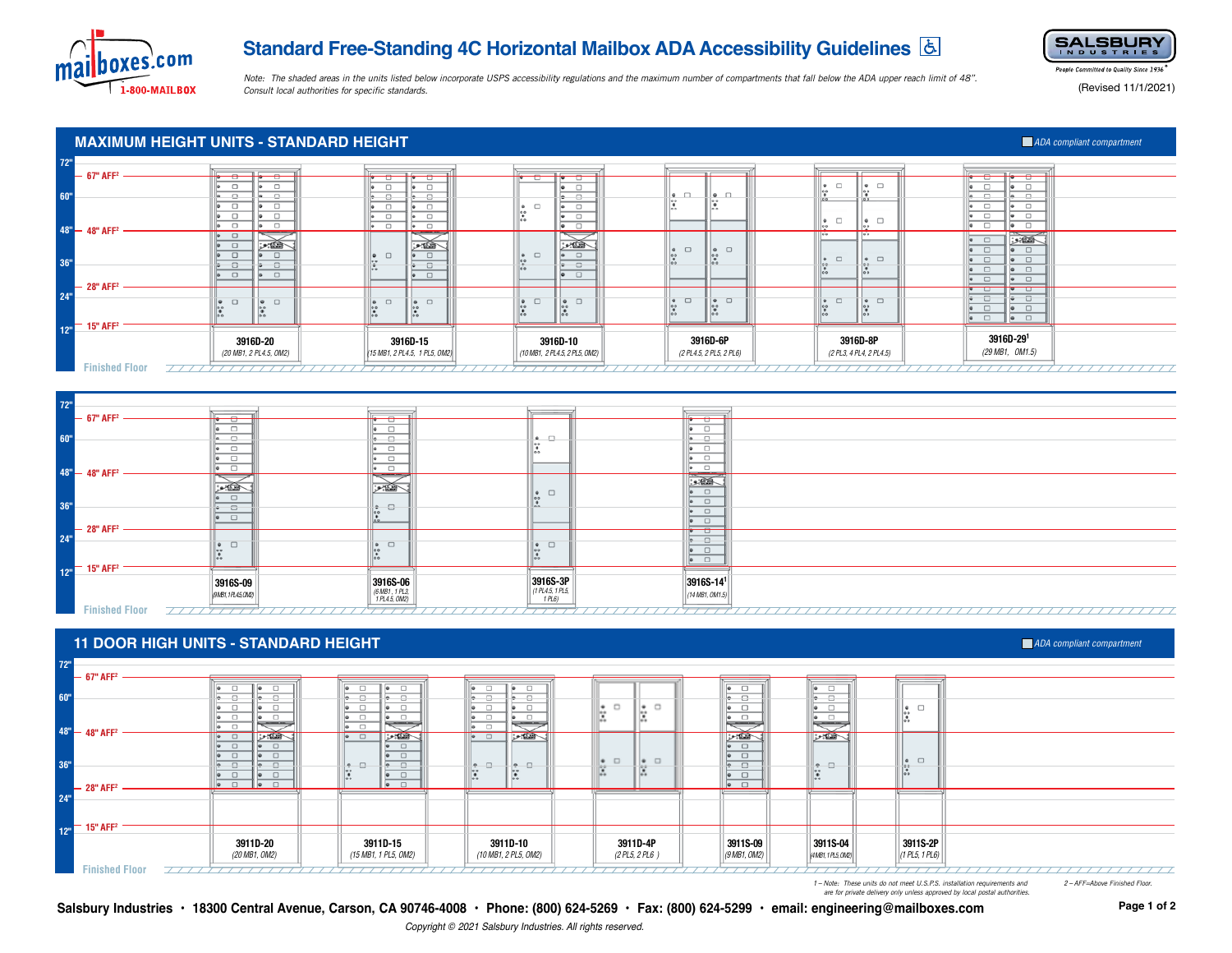

# **Standard Free-Standing 4C Horizontal Mailbox ADA Accessibility Guidelines**



*Note: The shaded areas in the units listed below incorporate USPS accessibility regulations and the maximum number of compartments that fall below the ADA upper reach limit of 48". Consult local authorities for specific standards.*

People Committed to Quality Since 1936

(Revised 11/1/2021)

# **MAXIMUM HEIGHT UNITS - STANDARD HEIGHT ADA COMPILER IN EXAMPLE 2009 ADA COMPILER INC.** ADA compliant compartment

| 72" | $-67"$ AFF <sup>2</sup>                    |                                                                              |                                                                        |                                                                                                         |                                                                                    |                                                                  |                                                                                                           |
|-----|--------------------------------------------|------------------------------------------------------------------------------|------------------------------------------------------------------------|---------------------------------------------------------------------------------------------------------|------------------------------------------------------------------------------------|------------------------------------------------------------------|-----------------------------------------------------------------------------------------------------------|
| 60" |                                            | J<br>$\Box$<br>$\sqrt{2}$<br>$\sqrt{2}$<br>$\Box$<br>114<br>$\Box$<br>$\Box$ | ™ਾ<br>p<br>o.<br>o.<br>$\Box$<br>$\sim$                                | π• ∪<br>ਹ<br>$\Box$<br>le.<br>-9<br>$\bullet$ $\Box$<br>$\Box$<br>le.<br>$\mathbb{P}^{\circ}_{\bullet}$ | $\bullet$ $\Box$<br>$\bullet$ $\Box$<br>1000<br>le e-<br>0.0<br><b>Links</b>       | $\bullet$ $\Box$<br>$\bullet$ $\Box$                             | d<br>d<br>$\Box$<br>$\sim$<br>¢<br>o<br>$\Box$<br>$\Box$<br>$\hfill \square$                              |
|     | $48^{\circ} - 48^{\circ}$ AFF <sup>2</sup> | $\Box$<br>$\sim$<br>110                                                      | $\Box$<br>$\sim$<br>$\bullet$                                          | $\Box$<br><b>I</b><br>$\overline{\bullet}$<br>一<br>$\Box$<br>$\bullet$                                  |                                                                                    | $\bullet$ $\Box$<br>$\bullet$ $\Box$<br>00<br>$\Box$<br>00<br>00 | $\Box$<br>$\Box$                                                                                          |
| 36" | $-28$ " AFF <sup>2</sup>                   | ⊞ بن<br>$\Box$<br>$\Box$<br>- 8<br>₩<br>$\Box$                               | هله و<br>$\bullet$ $\Box$<br>$\Box$<br>-8<br>æ<br>100<br>$\Box$<br>ie. | سائلا<br>$\bullet$ $\Box$<br>$\frac{1}{2}$<br>-8<br>÷<br>$\Box$                                         | $\Box$<br>$\bullet$ $\Box$<br>$\bullet$<br>lo o<br>00<br>$\bullet$<br>de de<br>166 | $\bullet$ $\Box$<br>$\bullet$ $\Box$<br>00<br>0.0                | $\Box$<br>.9.82<br>$\Box$<br>$\Box$<br>$\Box$<br>$\bullet$ $\Box$<br>$\Box$<br>$\Box$<br>$\Box$<br>$\Box$ |
| 24" |                                            | $\Box$<br>$\Box$<br>⊪∙<br>$\bullet$<br>$\mathbb{R}^{\circ}$                  | $\bullet$ $\Box$<br>$\bullet$ $\Box$<br>lle e                          | $\bullet$ $\Box$<br>$\bullet$ $\Box$<br> 00                                                             | $  \bullet \square$<br>ii• □<br>lo o                                               | $  \cdot  $<br>$\bullet$ $\Box$<br>$\Box$ 00<br>$\frac{1}{20}$   | $\Box$<br>□<br>$\Box$<br>$\bullet$ $\Box$<br>$\Box$<br>$\Box$                                             |
|     | $12m$ 15" AFF <sup>2</sup>                 | 3916D-20<br>(20 MB1, 2 PL4.5, OM2)                                           | 49.491<br>3916D-15<br>(15 MB1, 2 PL4.5, 1 PL5, OM2)                    | 00<br>3916D-10<br>(10 MB1, 2 PL4.5, 2 PL5, OM2)                                                         | <b>India</b><br>3916D-6P<br>(2 PL4.5, 2 PL5, 2 PL6)                                | 3916D-8P<br>(2 PL3, 4 PL4, 2 PL4.5)                              | $\Box$<br>$\bullet$ $\Box$<br>3916D-291<br>(29 MB1, OM1.5)                                                |
|     | <b>Finished Floor</b>                      |                                                                              |                                                                        |                                                                                                         |                                                                                    |                                                                  |                                                                                                           |



### **11 DOOR HIGH UNITS - STANDARD HEIGHT**

### *ADA compliant compartment*



*1 – Note: These units do not meet U.S.P.S. installation requirements and 2 – AFF=Above Finished Floor.*

 *are for private delivery only unless approved by local postal authorities.*

**Salsbury Industries • 18300 Central Avenue, Carson, CA 90746-4008 • Phone: (800) 624-5269 • Fax: (800) 624-5299 • email: engineering@mailboxes.com**